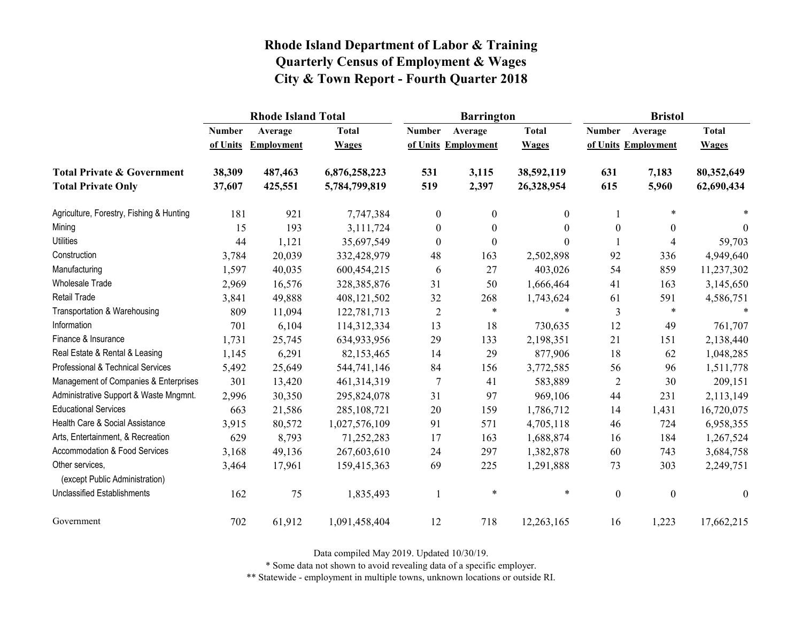|                                                   |               | <b>Rhode Island Total</b> |               |                  | <b>Barrington</b>   |              | <b>Bristol</b>   |                          |                  |
|---------------------------------------------------|---------------|---------------------------|---------------|------------------|---------------------|--------------|------------------|--------------------------|------------------|
|                                                   | <b>Number</b> | Average                   | <b>Total</b>  | <b>Number</b>    | Average             | <b>Total</b> | <b>Number</b>    | Average                  | <b>Total</b>     |
|                                                   | of Units      | <b>Employment</b>         | <b>Wages</b>  |                  | of Units Employment | <b>Wages</b> |                  | of Units Employment      | <b>Wages</b>     |
| <b>Total Private &amp; Government</b>             | 38,309        | 487,463                   | 6,876,258,223 | 531              | 3,115               | 38,592,119   | 631              | 7,183                    | 80,352,649       |
| <b>Total Private Only</b>                         | 37,607        | 425,551                   | 5,784,799,819 | 519              | 2,397               | 26,328,954   | 615              | 5,960                    | 62,690,434       |
| Agriculture, Forestry, Fishing & Hunting          | 181           | 921                       | 7,747,384     | $\boldsymbol{0}$ | $\boldsymbol{0}$    | $\mathbf{0}$ |                  | $\ast$                   |                  |
| Mining                                            | 15            | 193                       | 3,111,724     | $\boldsymbol{0}$ | $\theta$            | $\theta$     | $\boldsymbol{0}$ | $\boldsymbol{0}$         | $\Omega$         |
| <b>Utilities</b>                                  | 44            | 1,121                     | 35,697,549    | $\boldsymbol{0}$ | $\boldsymbol{0}$    | $\theta$     |                  | $\overline{\mathcal{A}}$ | 59,703           |
| Construction                                      | 3,784         | 20,039                    | 332,428,979   | 48               | 163                 | 2,502,898    | 92               | 336                      | 4,949,640        |
| Manufacturing                                     | 1,597         | 40,035                    | 600,454,215   | 6                | 27                  | 403,026      | 54               | 859                      | 11,237,302       |
| Wholesale Trade                                   | 2,969         | 16,576                    | 328, 385, 876 | 31               | 50                  | 1,666,464    | 41               | 163                      | 3,145,650        |
| <b>Retail Trade</b>                               | 3,841         | 49,888                    | 408,121,502   | 32               | 268                 | 1,743,624    | 61               | 591                      | 4,586,751        |
| Transportation & Warehousing                      | 809           | 11,094                    | 122,781,713   | $\overline{2}$   | $\ast$              | $\ast$       | 3                | $\ast$                   |                  |
| Information                                       | 701           | 6,104                     | 114,312,334   | 13               | 18                  | 730,635      | 12               | 49                       | 761,707          |
| Finance & Insurance                               | 1,731         | 25,745                    | 634,933,956   | 29               | 133                 | 2,198,351    | 21               | 151                      | 2,138,440        |
| Real Estate & Rental & Leasing                    | 1,145         | 6,291                     | 82,153,465    | 14               | 29                  | 877,906      | 18               | 62                       | 1,048,285        |
| Professional & Technical Services                 | 5,492         | 25,649                    | 544,741,146   | 84               | 156                 | 3,772,585    | 56               | 96                       | 1,511,778        |
| Management of Companies & Enterprises             | 301           | 13,420                    | 461, 314, 319 | 7                | 41                  | 583,889      | $\overline{2}$   | 30                       | 209,151          |
| Administrative Support & Waste Mngmnt.            | 2,996         | 30,350                    | 295,824,078   | 31               | 97                  | 969,106      | 44               | 231                      | 2,113,149        |
| <b>Educational Services</b>                       | 663           | 21,586                    | 285, 108, 721 | 20               | 159                 | 1,786,712    | 14               | 1,431                    | 16,720,075       |
| Health Care & Social Assistance                   | 3,915         | 80,572                    | 1,027,576,109 | 91               | 571                 | 4,705,118    | 46               | 724                      | 6,958,355        |
| Arts, Entertainment, & Recreation                 | 629           | 8,793                     | 71,252,283    | 17               | 163                 | 1,688,874    | 16               | 184                      | 1,267,524        |
| Accommodation & Food Services                     | 3,168         | 49,136                    | 267,603,610   | 24               | 297                 | 1,382,878    | 60               | 743                      | 3,684,758        |
| Other services,<br>(except Public Administration) | 3,464         | 17,961                    | 159,415,363   | 69               | 225                 | 1,291,888    | 73               | 303                      | 2,249,751        |
| <b>Unclassified Establishments</b>                | 162           | 75                        | 1,835,493     | $\mathbf{1}$     | $\ast$              | $\ast$       | $\boldsymbol{0}$ | $\boldsymbol{0}$         | $\boldsymbol{0}$ |
| Government                                        | 702           | 61,912                    | 1,091,458,404 | 12               | 718                 | 12,263,165   | 16               | 1,223                    | 17,662,215       |

Data compiled May 2019. Updated 10/30/19.

\* Some data not shown to avoid revealing data of a specific employer.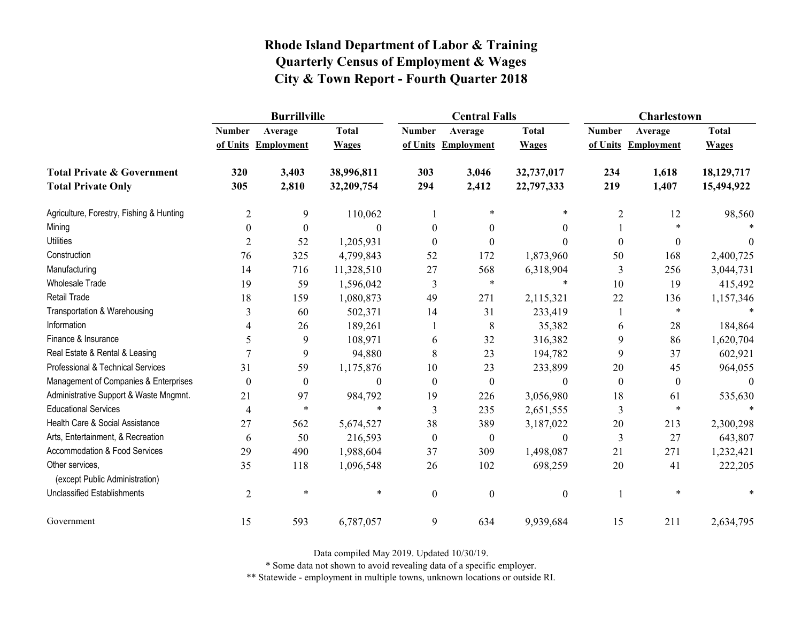|                                                   | <b>Burrillville</b> |                     |              |                  | <b>Central Falls</b> |                  | Charlestown      |                     |              |
|---------------------------------------------------|---------------------|---------------------|--------------|------------------|----------------------|------------------|------------------|---------------------|--------------|
|                                                   | <b>Number</b>       | Average             | <b>Total</b> | <b>Number</b>    | Average              | <b>Total</b>     | <b>Number</b>    | Average             | <b>Total</b> |
|                                                   |                     | of Units Employment | <b>Wages</b> |                  | of Units Employment  | <b>Wages</b>     |                  | of Units Employment | <b>Wages</b> |
| <b>Total Private &amp; Government</b>             | 320                 | 3,403               | 38,996,811   | 303              | 3,046                | 32,737,017       | 234              | 1,618               | 18,129,717   |
| <b>Total Private Only</b>                         | 305                 | 2,810               | 32,209,754   | 294              | 2,412                | 22,797,333       | 219              | 1,407               | 15,494,922   |
| Agriculture, Forestry, Fishing & Hunting          | $\overline{2}$      | 9                   | 110,062      |                  |                      | $\ast$           | $\overline{2}$   | 12                  | 98,560       |
| Mining                                            | $\theta$            | $\boldsymbol{0}$    | 0            | $\theta$         | 0                    | $\theta$         |                  | $\ast$              |              |
| <b>Utilities</b>                                  | $\overline{2}$      | 52                  | 1,205,931    | $\theta$         | $\theta$             | $\theta$         | $\boldsymbol{0}$ | $\boldsymbol{0}$    | $\theta$     |
| Construction                                      | 76                  | 325                 | 4,799,843    | 52               | 172                  | 1,873,960        | 50               | 168                 | 2,400,725    |
| Manufacturing                                     | 14                  | 716                 | 11,328,510   | 27               | 568                  | 6,318,904        | 3                | 256                 | 3,044,731    |
| <b>Wholesale Trade</b>                            | 19                  | 59                  | 1,596,042    | 3                | $\ast$               | $\ast$           | 10               | 19                  | 415,492      |
| <b>Retail Trade</b>                               | 18                  | 159                 | 1,080,873    | 49               | 271                  | 2,115,321        | 22               | 136                 | 1,157,346    |
| Transportation & Warehousing                      | 3                   | 60                  | 502,371      | 14               | 31                   | 233,419          | 1                | $\ast$              |              |
| Information                                       | 4                   | 26                  | 189,261      |                  | 8                    | 35,382           | 6                | 28                  | 184,864      |
| Finance & Insurance                               | 5                   | 9                   | 108,971      | 6                | 32                   | 316,382          | 9                | 86                  | 1,620,704    |
| Real Estate & Rental & Leasing                    |                     | 9                   | 94,880       | 8                | 23                   | 194,782          | 9                | 37                  | 602,921      |
| Professional & Technical Services                 | 31                  | 59                  | 1,175,876    | 10               | 23                   | 233,899          | $20\,$           | 45                  | 964,055      |
| Management of Companies & Enterprises             | $\theta$            | $\boldsymbol{0}$    | $\theta$     | $\theta$         | $\boldsymbol{0}$     | $\theta$         | $\boldsymbol{0}$ | $\boldsymbol{0}$    | $\Omega$     |
| Administrative Support & Waste Mngmnt.            | 21                  | 97                  | 984,792      | 19               | 226                  | 3,056,980        | 18               | 61                  | 535,630      |
| <b>Educational Services</b>                       | 4                   | $\ast$              | $\ast$       | 3                | 235                  | 2,651,555        | 3                | $\ast$              |              |
| Health Care & Social Assistance                   | 27                  | 562                 | 5,674,527    | 38               | 389                  | 3,187,022        | 20               | 213                 | 2,300,298    |
| Arts, Entertainment, & Recreation                 | 6                   | 50                  | 216,593      | $\boldsymbol{0}$ | $\boldsymbol{0}$     | $\boldsymbol{0}$ | 3                | 27                  | 643,807      |
| Accommodation & Food Services                     | 29                  | 490                 | 1,988,604    | 37               | 309                  | 1,498,087        | 21               | 271                 | 1,232,421    |
| Other services,<br>(except Public Administration) | 35                  | 118                 | 1,096,548    | 26               | 102                  | 698,259          | 20               | 41                  | 222,205      |
| <b>Unclassified Establishments</b>                | $\overline{2}$      | $\ast$              | $\ast$       | $\mathbf{0}$     | $\mathbf{0}$         | $\boldsymbol{0}$ |                  | $\ast$              |              |
| Government                                        | 15                  | 593                 | 6,787,057    | 9                | 634                  | 9,939,684        | 15               | 211                 | 2,634,795    |

Data compiled May 2019. Updated 10/30/19.

\* Some data not shown to avoid revealing data of a specific employer.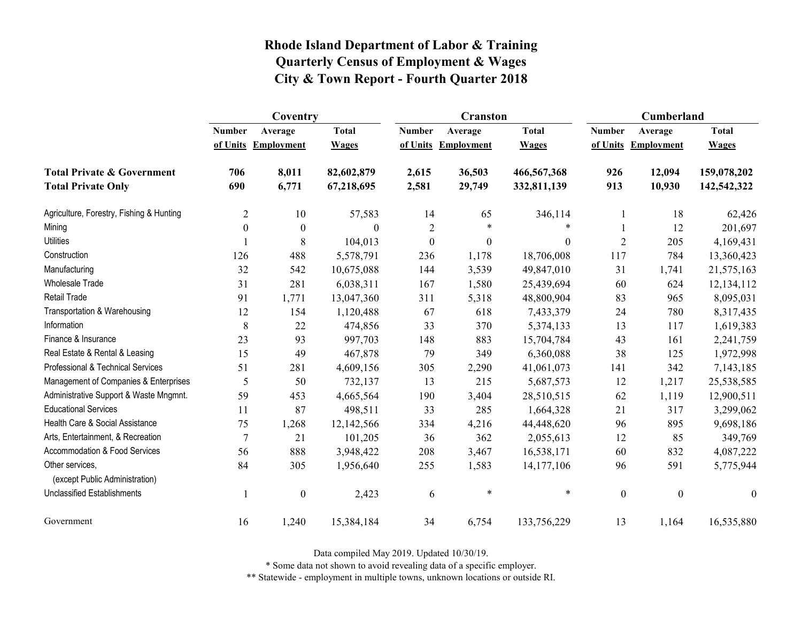|                                                   | Coventry         |                     |              |                | <b>Cranston</b>     |              | <b>Cumberland</b> |                     |                  |
|---------------------------------------------------|------------------|---------------------|--------------|----------------|---------------------|--------------|-------------------|---------------------|------------------|
|                                                   | <b>Number</b>    | Average             | <b>Total</b> | <b>Number</b>  | Average             | <b>Total</b> | <b>Number</b>     | Average             | <b>Total</b>     |
|                                                   |                  | of Units Employment | <b>Wages</b> |                | of Units Employment | <b>Wages</b> |                   | of Units Employment | <b>Wages</b>     |
| <b>Total Private &amp; Government</b>             | 706              | 8,011               | 82,602,879   | 2,615          | 36,503              | 466,567,368  | 926               | 12,094              | 159,078,202      |
| <b>Total Private Only</b>                         | 690              | 6,771               | 67,218,695   | 2,581          | 29,749              | 332,811,139  | 913               | 10,930              | 142,542,322      |
| Agriculture, Forestry, Fishing & Hunting          | $\overline{2}$   | 10                  | 57,583       | 14             | 65                  | 346,114      |                   | 18                  | 62,426           |
| Mining                                            | $\boldsymbol{0}$ | $\boldsymbol{0}$    | $\Omega$     | $\overline{2}$ | $\ast$              | $\ast$       |                   | 12                  | 201,697          |
| <b>Utilities</b>                                  |                  | 8                   | 104,013      | $\mathbf{0}$   | $\boldsymbol{0}$    | $\theta$     | $\overline{2}$    | 205                 | 4,169,431        |
| Construction                                      | 126              | 488                 | 5,578,791    | 236            | 1,178               | 18,706,008   | 117               | 784                 | 13,360,423       |
| Manufacturing                                     | 32               | 542                 | 10,675,088   | 144            | 3,539               | 49,847,010   | 31                | 1,741               | 21,575,163       |
| Wholesale Trade                                   | 31               | 281                 | 6,038,311    | 167            | 1,580               | 25,439,694   | 60                | 624                 | 12, 134, 112     |
| <b>Retail Trade</b>                               | 91               | 1,771               | 13,047,360   | 311            | 5,318               | 48,800,904   | 83                | 965                 | 8,095,031        |
| Transportation & Warehousing                      | 12               | 154                 | 1,120,488    | 67             | 618                 | 7,433,379    | 24                | 780                 | 8,317,435        |
| Information                                       | 8                | 22                  | 474,856      | 33             | 370                 | 5,374,133    | 13                | 117                 | 1,619,383        |
| Finance & Insurance                               | 23               | 93                  | 997,703      | 148            | 883                 | 15,704,784   | 43                | 161                 | 2,241,759        |
| Real Estate & Rental & Leasing                    | 15               | 49                  | 467,878      | 79             | 349                 | 6,360,088    | 38                | 125                 | 1,972,998        |
| Professional & Technical Services                 | 51               | 281                 | 4,609,156    | 305            | 2,290               | 41,061,073   | 141               | 342                 | 7,143,185        |
| Management of Companies & Enterprises             | 5                | 50                  | 732,137      | 13             | 215                 | 5,687,573    | 12                | 1,217               | 25,538,585       |
| Administrative Support & Waste Mngmnt.            | 59               | 453                 | 4,665,564    | 190            | 3,404               | 28,510,515   | 62                | 1,119               | 12,900,511       |
| <b>Educational Services</b>                       | 11               | 87                  | 498,511      | 33             | 285                 | 1,664,328    | 21                | 317                 | 3,299,062        |
| Health Care & Social Assistance                   | 75               | 1,268               | 12,142,566   | 334            | 4,216               | 44,448,620   | 96                | 895                 | 9,698,186        |
| Arts, Entertainment, & Recreation                 | $\overline{7}$   | 21                  | 101,205      | 36             | 362                 | 2,055,613    | 12                | 85                  | 349,769          |
| Accommodation & Food Services                     | 56               | 888                 | 3,948,422    | 208            | 3,467               | 16,538,171   | 60                | 832                 | 4,087,222        |
| Other services,<br>(except Public Administration) | 84               | 305                 | 1,956,640    | 255            | 1,583               | 14,177,106   | 96                | 591                 | 5,775,944        |
| <b>Unclassified Establishments</b>                |                  | $\boldsymbol{0}$    | 2,423        | 6              | $\ast$              | $\ast$       | $\boldsymbol{0}$  | $\boldsymbol{0}$    | $\boldsymbol{0}$ |
| Government                                        | 16               | 1,240               | 15,384,184   | 34             | 6,754               | 133,756,229  | 13                | 1,164               | 16,535,880       |

Data compiled May 2019. Updated 10/30/19.

\* Some data not shown to avoid revealing data of a specific employer.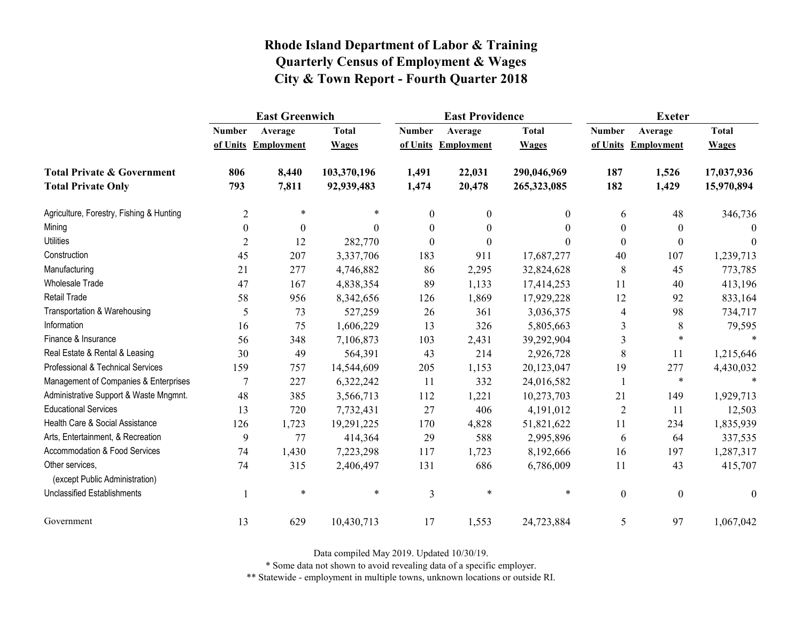|                                                   | <b>East Greenwich</b> |                     |              |                | <b>East Providence</b> |              | <b>Exeter</b>    |                     |              |
|---------------------------------------------------|-----------------------|---------------------|--------------|----------------|------------------------|--------------|------------------|---------------------|--------------|
|                                                   | <b>Number</b>         | Average             | <b>Total</b> | <b>Number</b>  | Average                | <b>Total</b> | <b>Number</b>    | Average             | <b>Total</b> |
|                                                   |                       | of Units Employment | <b>Wages</b> |                | of Units Employment    | <b>Wages</b> |                  | of Units Employment | <b>Wages</b> |
| <b>Total Private &amp; Government</b>             | 806                   | 8,440               | 103,370,196  | 1,491          | 22,031                 | 290,046,969  | 187              | 1,526               | 17,037,936   |
| <b>Total Private Only</b>                         | 793                   | 7,811               | 92,939,483   | 1,474          | 20,478                 | 265,323,085  | 182              | 1,429               | 15,970,894   |
| Agriculture, Forestry, Fishing & Hunting          | $\overline{2}$        | $\ast$              |              | $\mathbf{0}$   | $\boldsymbol{0}$       | 0            | 6                | 48                  | 346,736      |
| Mining                                            | $\boldsymbol{0}$      | $\theta$            | $\Omega$     | $\theta$       | $\boldsymbol{0}$       | $\theta$     | $\boldsymbol{0}$ | $\theta$            | $\Omega$     |
| <b>Utilities</b>                                  | 2                     | 12                  | 282,770      | $\theta$       | $\theta$               | 0            | $\boldsymbol{0}$ | $\theta$            | $\theta$     |
| Construction                                      | 45                    | 207                 | 3,337,706    | 183            | 911                    | 17,687,277   | 40               | 107                 | 1,239,713    |
| Manufacturing                                     | 21                    | 277                 | 4,746,882    | 86             | 2,295                  | 32,824,628   | 8                | 45                  | 773,785      |
| Wholesale Trade                                   | 47                    | 167                 | 4,838,354    | 89             | 1,133                  | 17,414,253   | 11               | 40                  | 413,196      |
| <b>Retail Trade</b>                               | 58                    | 956                 | 8,342,656    | 126            | 1,869                  | 17,929,228   | 12               | 92                  | 833,164      |
| Transportation & Warehousing                      | 5                     | 73                  | 527,259      | 26             | 361                    | 3,036,375    | 4                | 98                  | 734,717      |
| Information                                       | 16                    | 75                  | 1,606,229    | 13             | 326                    | 5,805,663    | 3                | 8                   | 79,595       |
| Finance & Insurance                               | 56                    | 348                 | 7,106,873    | 103            | 2,431                  | 39,292,904   | 3                | $\ast$              |              |
| Real Estate & Rental & Leasing                    | 30                    | 49                  | 564,391      | 43             | 214                    | 2,926,728    | 8                | 11                  | 1,215,646    |
| Professional & Technical Services                 | 159                   | 757                 | 14,544,609   | 205            | 1,153                  | 20,123,047   | 19               | 277                 | 4,430,032    |
| Management of Companies & Enterprises             | $\overline{7}$        | 227                 | 6,322,242    | 11             | 332                    | 24,016,582   |                  | $\ast$              | $\ast$       |
| Administrative Support & Waste Mngmnt.            | 48                    | 385                 | 3,566,713    | 112            | 1,221                  | 10,273,703   | 21               | 149                 | 1,929,713    |
| <b>Educational Services</b>                       | 13                    | 720                 | 7,732,431    | 27             | 406                    | 4,191,012    | $\overline{2}$   | 11                  | 12,503       |
| Health Care & Social Assistance                   | 126                   | 1,723               | 19,291,225   | 170            | 4,828                  | 51,821,622   | 11               | 234                 | 1,835,939    |
| Arts, Entertainment, & Recreation                 | 9                     | 77                  | 414,364      | 29             | 588                    | 2,995,896    | 6                | 64                  | 337,535      |
| Accommodation & Food Services                     | 74                    | 1,430               | 7,223,298    | 117            | 1,723                  | 8,192,666    | 16               | 197                 | 1,287,317    |
| Other services,<br>(except Public Administration) | 74                    | 315                 | 2,406,497    | 131            | 686                    | 6,786,009    | 11               | 43                  | 415,707      |
| <b>Unclassified Establishments</b>                |                       | $\ast$              | $\ast$       | $\mathfrak{Z}$ | $\ast$                 | $\ast$       | $\boldsymbol{0}$ | $\boldsymbol{0}$    | $\theta$     |
| Government                                        | 13                    | 629                 | 10,430,713   | 17             | 1,553                  | 24,723,884   | 5                | 97                  | 1,067,042    |

Data compiled May 2019. Updated 10/30/19.

\* Some data not shown to avoid revealing data of a specific employer.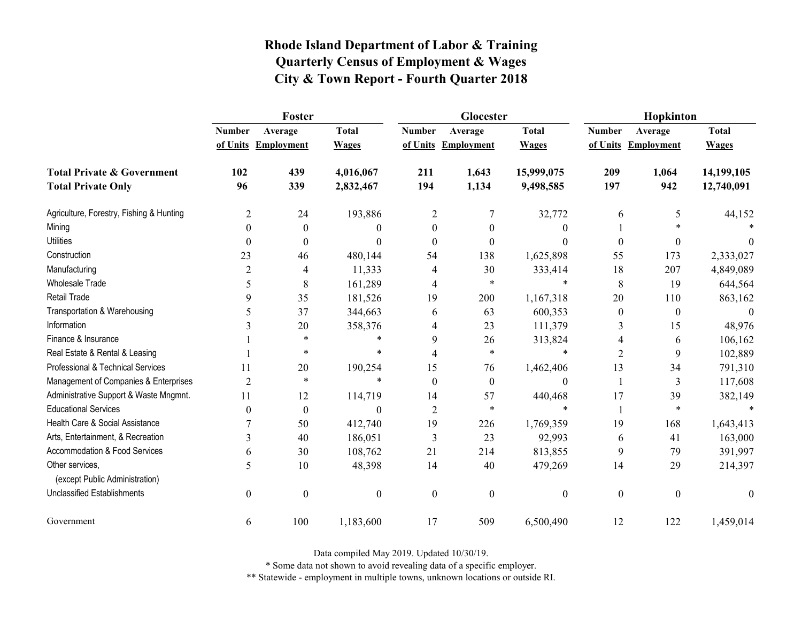|                                                   | Foster           |                     |                  |                  | Glocester           |                  | Hopkinton        |                     |                  |  |
|---------------------------------------------------|------------------|---------------------|------------------|------------------|---------------------|------------------|------------------|---------------------|------------------|--|
|                                                   | <b>Number</b>    | Average             | <b>Total</b>     | <b>Number</b>    | Average             | <b>Total</b>     | <b>Number</b>    | Average             | <b>Total</b>     |  |
|                                                   |                  | of Units Employment | <b>Wages</b>     |                  | of Units Employment | <b>Wages</b>     |                  | of Units Employment | <b>Wages</b>     |  |
| <b>Total Private &amp; Government</b>             | 102              | 439                 | 4,016,067        | 211              | 1,643               | 15,999,075       | 209              | 1,064               | 14,199,105       |  |
| <b>Total Private Only</b>                         | 96               | 339                 | 2,832,467        | 194              | 1,134               | 9,498,585        | 197              | 942                 | 12,740,091       |  |
| Agriculture, Forestry, Fishing & Hunting          | 2                | 24                  | 193,886          | $\overline{2}$   | 7                   | 32,772           | 6                | 5                   | 44,152           |  |
| Mining                                            | $\theta$         | $\theta$            | 0                | $\theta$         | $\theta$            | $\theta$         |                  |                     |                  |  |
| <b>Utilities</b>                                  | $\theta$         | $\boldsymbol{0}$    | $\theta$         | $\theta$         | $\theta$            | $\theta$         | $\boldsymbol{0}$ | $\boldsymbol{0}$    | $\theta$         |  |
| Construction                                      | 23               | 46                  | 480,144          | 54               | 138                 | 1,625,898        | 55               | 173                 | 2,333,027        |  |
| Manufacturing                                     | $\overline{2}$   | $\overline{4}$      | 11,333           | 4                | 30                  | 333,414          | 18               | 207                 | 4,849,089        |  |
| <b>Wholesale Trade</b>                            | 5                | 8                   | 161,289          | 4                | *                   | $\ast$           | 8                | 19                  | 644,564          |  |
| Retail Trade                                      | 9                | 35                  | 181,526          | 19               | 200                 | 1,167,318        | 20               | 110                 | 863,162          |  |
| Transportation & Warehousing                      | 5                | 37                  | 344,663          | 6                | 63                  | 600,353          | $\boldsymbol{0}$ | $\boldsymbol{0}$    | $\boldsymbol{0}$ |  |
| Information                                       | 3                | 20                  | 358,376          | 4                | 23                  | 111,379          | 3                | 15                  | 48,976           |  |
| Finance & Insurance                               |                  | $\ast$              | $\ast$           | 9                | 26                  | 313,824          | 4                | 6                   | 106,162          |  |
| Real Estate & Rental & Leasing                    |                  | $\ast$              | *                | 4                | $\ast$              | $\ast$           | $\overline{2}$   | 9                   | 102,889          |  |
| Professional & Technical Services                 | 11               | 20                  | 190,254          | 15               | 76                  | 1,462,406        | 13               | 34                  | 791,310          |  |
| Management of Companies & Enterprises             | $\overline{2}$   | $\ast$              | $\ast$           | $\theta$         | $\boldsymbol{0}$    | $\boldsymbol{0}$ | $\mathbf{1}$     | 3                   | 117,608          |  |
| Administrative Support & Waste Mngmnt.            | 11               | 12                  | 114,719          | 14               | 57                  | 440,468          | 17               | 39                  | 382,149          |  |
| <b>Educational Services</b>                       | $\theta$         | $\boldsymbol{0}$    | $\theta$         | $\overline{2}$   | $\ast$              | $\ast$           | 1                | $\ast$              |                  |  |
| Health Care & Social Assistance                   |                  | 50                  | 412,740          | 19               | 226                 | 1,769,359        | 19               | 168                 | 1,643,413        |  |
| Arts, Entertainment, & Recreation                 | 3                | 40                  | 186,051          | 3                | 23                  | 92,993           | 6                | 41                  | 163,000          |  |
| Accommodation & Food Services                     | 6                | 30                  | 108,762          | 21               | 214                 | 813,855          | 9                | 79                  | 391,997          |  |
| Other services,<br>(except Public Administration) | 5                | 10                  | 48,398           | 14               | 40                  | 479,269          | 14               | 29                  | 214,397          |  |
| <b>Unclassified Establishments</b>                | $\boldsymbol{0}$ | $\boldsymbol{0}$    | $\boldsymbol{0}$ | $\boldsymbol{0}$ | $\mathbf{0}$        | $\boldsymbol{0}$ | $\boldsymbol{0}$ | $\boldsymbol{0}$    | $\mathbf{0}$     |  |
| Government                                        | 6                | 100                 | 1,183,600        | 17               | 509                 | 6,500,490        | 12               | 122                 | 1,459,014        |  |

Data compiled May 2019. Updated 10/30/19.

\* Some data not shown to avoid revealing data of a specific employer.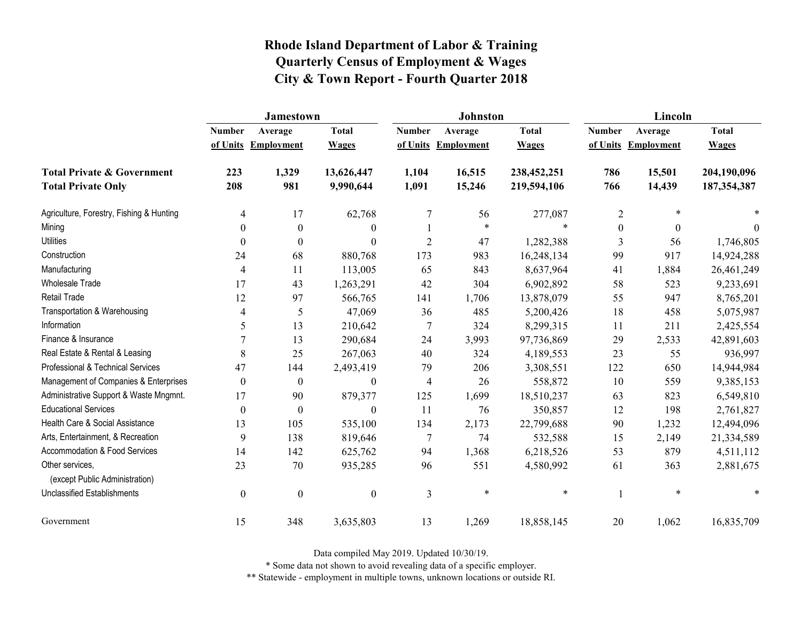|                                                   | <b>Jamestown</b> |                     |                  |                | Johnston          |              | Lincoln          |                     |              |
|---------------------------------------------------|------------------|---------------------|------------------|----------------|-------------------|--------------|------------------|---------------------|--------------|
|                                                   | <b>Number</b>    | Average             | <b>Total</b>     | <b>Number</b>  | Average           | <b>Total</b> | <b>Number</b>    | Average             | <b>Total</b> |
|                                                   |                  | of Units Employment | <b>Wages</b>     | of Units       | <b>Employment</b> | <b>Wages</b> |                  | of Units Employment | <b>Wages</b> |
| <b>Total Private &amp; Government</b>             | 223              | 1,329               | 13,626,447       | 1,104          | 16,515            | 238,452,251  | 786              | 15,501              | 204,190,096  |
| <b>Total Private Only</b>                         | 208              | 981                 | 9,990,644        | 1,091          | 15,246            | 219,594,106  | 766              | 14,439              | 187,354,387  |
| Agriculture, Forestry, Fishing & Hunting          | 4                | 17                  | 62,768           | $\tau$         | 56                | 277,087      | $\overline{2}$   | $\ast$              |              |
| Mining                                            | $\theta$         | 0                   | $\boldsymbol{0}$ |                | $\ast$            | $\ast$       | $\boldsymbol{0}$ | $\theta$            | $\theta$     |
| <b>Utilities</b>                                  | $\theta$         | $\Omega$            | $\boldsymbol{0}$ | $\overline{2}$ | 47                | 1,282,388    | 3                | 56                  | 1,746,805    |
| Construction                                      | 24               | 68                  | 880,768          | 173            | 983               | 16,248,134   | 99               | 917                 | 14,924,288   |
| Manufacturing                                     | $\overline{4}$   | 11                  | 113,005          | 65             | 843               | 8,637,964    | 41               | 1,884               | 26,461,249   |
| <b>Wholesale Trade</b>                            | 17               | 43                  | 1,263,291        | 42             | 304               | 6,902,892    | 58               | 523                 | 9,233,691    |
| <b>Retail Trade</b>                               | 12               | 97                  | 566,765          | 141            | 1,706             | 13,878,079   | 55               | 947                 | 8,765,201    |
| Transportation & Warehousing                      | $\overline{4}$   | 5                   | 47,069           | 36             | 485               | 5,200,426    | 18               | 458                 | 5,075,987    |
| Information                                       | 5                | 13                  | 210,642          | 7              | 324               | 8,299,315    | 11               | 211                 | 2,425,554    |
| Finance & Insurance                               |                  | 13                  | 290,684          | 24             | 3,993             | 97,736,869   | 29               | 2,533               | 42,891,603   |
| Real Estate & Rental & Leasing                    | 8                | 25                  | 267,063          | 40             | 324               | 4,189,553    | 23               | 55                  | 936,997      |
| Professional & Technical Services                 | 47               | 144                 | 2,493,419        | 79             | 206               | 3,308,551    | 122              | 650                 | 14,944,984   |
| Management of Companies & Enterprises             | $\overline{0}$   | $\boldsymbol{0}$    | $\boldsymbol{0}$ | $\overline{4}$ | 26                | 558,872      | 10               | 559                 | 9,385,153    |
| Administrative Support & Waste Mngmnt.            | 17               | 90                  | 879,377          | 125            | 1,699             | 18,510,237   | 63               | 823                 | 6,549,810    |
| <b>Educational Services</b>                       | $\theta$         | $\Omega$            | $\theta$         | 11             | 76                | 350,857      | 12               | 198                 | 2,761,827    |
| Health Care & Social Assistance                   | 13               | 105                 | 535,100          | 134            | 2,173             | 22,799,688   | 90               | 1,232               | 12,494,096   |
| Arts, Entertainment, & Recreation                 | 9                | 138                 | 819,646          | $\tau$         | 74                | 532,588      | 15               | 2,149               | 21,334,589   |
| Accommodation & Food Services                     | 14               | 142                 | 625,762          | 94             | 1,368             | 6,218,526    | 53               | 879                 | 4,511,112    |
| Other services,<br>(except Public Administration) | 23               | 70                  | 935,285          | 96             | 551               | 4,580,992    | 61               | 363                 | 2,881,675    |
| <b>Unclassified Establishments</b>                | $\boldsymbol{0}$ | $\boldsymbol{0}$    | $\boldsymbol{0}$ | 3              | $\ast$            | $\ast$       |                  | $\ast$              | $\ast$       |
| Government                                        | 15               | 348                 | 3,635,803        | 13             | 1,269             | 18,858,145   | 20               | 1,062               | 16,835,709   |

Data compiled May 2019. Updated 10/30/19.

\* Some data not shown to avoid revealing data of a specific employer.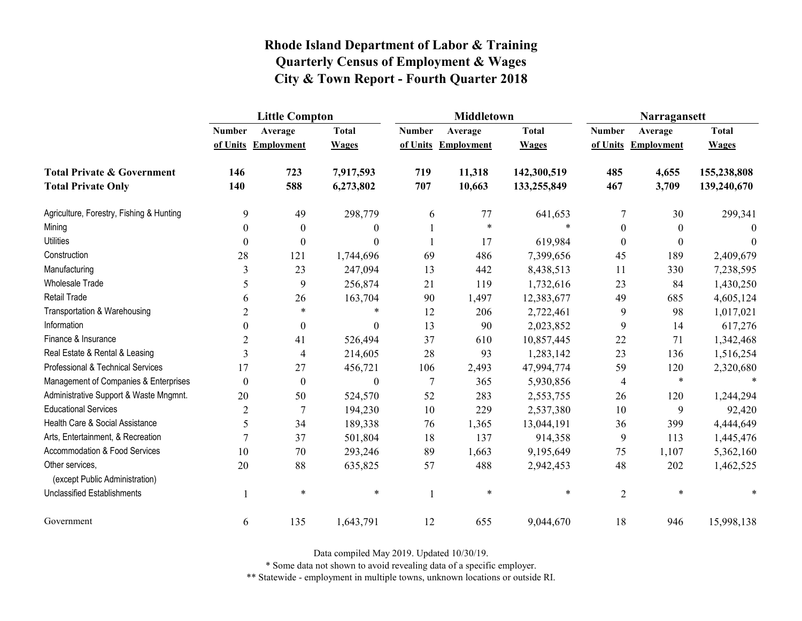|                                                   | <b>Little Compton</b> |                     |                  |               | <b>Middletown</b>   |              | Narragansett     |                     |              |
|---------------------------------------------------|-----------------------|---------------------|------------------|---------------|---------------------|--------------|------------------|---------------------|--------------|
|                                                   | <b>Number</b>         | Average             | <b>Total</b>     | <b>Number</b> | Average             | <b>Total</b> | <b>Number</b>    | Average             | <b>Total</b> |
|                                                   |                       | of Units Employment | <b>Wages</b>     |               | of Units Employment | <b>Wages</b> |                  | of Units Employment | <b>Wages</b> |
| <b>Total Private &amp; Government</b>             | 146                   | 723                 | 7,917,593        | 719           | 11,318              | 142,300,519  | 485              | 4,655               | 155,238,808  |
| <b>Total Private Only</b>                         | 140                   | 588                 | 6,273,802        | 707           | 10,663              | 133,255,849  | 467              | 3,709               | 139,240,670  |
| Agriculture, Forestry, Fishing & Hunting          | 9                     | 49                  | 298,779          | 6             | 77                  | 641,653      | 7                | 30                  | 299,341      |
| Mining                                            | $\boldsymbol{0}$      | $\boldsymbol{0}$    | $\theta$         |               | $\ast$              | $\ast$       | $\boldsymbol{0}$ | $\boldsymbol{0}$    | $\Omega$     |
| <b>Utilities</b>                                  | $\boldsymbol{0}$      | $\boldsymbol{0}$    | $\Omega$         |               | 17                  | 619,984      | $\boldsymbol{0}$ | $\theta$            | $\theta$     |
| Construction                                      | 28                    | 121                 | 1,744,696        | 69            | 486                 | 7,399,656    | 45               | 189                 | 2,409,679    |
| Manufacturing                                     | 3                     | 23                  | 247,094          | 13            | 442                 | 8,438,513    | 11               | 330                 | 7,238,595    |
| Wholesale Trade                                   | 5                     | 9                   | 256,874          | 21            | 119                 | 1,732,616    | 23               | 84                  | 1,430,250    |
| <b>Retail Trade</b>                               | 6                     | 26                  | 163,704          | 90            | 1,497               | 12,383,677   | 49               | 685                 | 4,605,124    |
| Transportation & Warehousing                      | $\overline{2}$        | $\ast$              | $\ast$           | 12            | 206                 | 2,722,461    | 9                | 98                  | 1,017,021    |
| Information                                       | $\theta$              | $\boldsymbol{0}$    | $\theta$         | 13            | 90                  | 2,023,852    | 9                | 14                  | 617,276      |
| Finance & Insurance                               | $\overline{2}$        | 41                  | 526,494          | 37            | 610                 | 10,857,445   | 22               | 71                  | 1,342,468    |
| Real Estate & Rental & Leasing                    | 3                     | $\overline{4}$      | 214,605          | 28            | 93                  | 1,283,142    | 23               | 136                 | 1,516,254    |
| Professional & Technical Services                 | 17                    | 27                  | 456,721          | 106           | 2,493               | 47,994,774   | 59               | 120                 | 2,320,680    |
| Management of Companies & Enterprises             | $\boldsymbol{0}$      | $\boldsymbol{0}$    | $\boldsymbol{0}$ | $\tau$        | 365                 | 5,930,856    | 4                | $\ast$              | $\ast$       |
| Administrative Support & Waste Mngmnt.            | 20                    | 50                  | 524,570          | 52            | 283                 | 2,553,755    | 26               | 120                 | 1,244,294    |
| <b>Educational Services</b>                       | $\overline{2}$        | $\tau$              | 194,230          | 10            | 229                 | 2,537,380    | 10               | 9                   | 92,420       |
| Health Care & Social Assistance                   | 5                     | 34                  | 189,338          | 76            | 1,365               | 13,044,191   | 36               | 399                 | 4,444,649    |
| Arts, Entertainment, & Recreation                 | 7                     | 37                  | 501,804          | 18            | 137                 | 914,358      | 9                | 113                 | 1,445,476    |
| Accommodation & Food Services                     | 10                    | 70                  | 293,246          | 89            | 1,663               | 9,195,649    | 75               | 1,107               | 5,362,160    |
| Other services,<br>(except Public Administration) | 20                    | 88                  | 635,825          | 57            | 488                 | 2,942,453    | 48               | 202                 | 1,462,525    |
| <b>Unclassified Establishments</b>                |                       | $\ast$              | $\ast$           |               | $\ast$              | $\ast$       | $\overline{2}$   | $\ast$              |              |
| Government                                        | 6                     | 135                 | 1,643,791        | 12            | 655                 | 9,044,670    | 18               | 946                 | 15,998,138   |

Data compiled May 2019. Updated 10/30/19.

\* Some data not shown to avoid revealing data of a specific employer.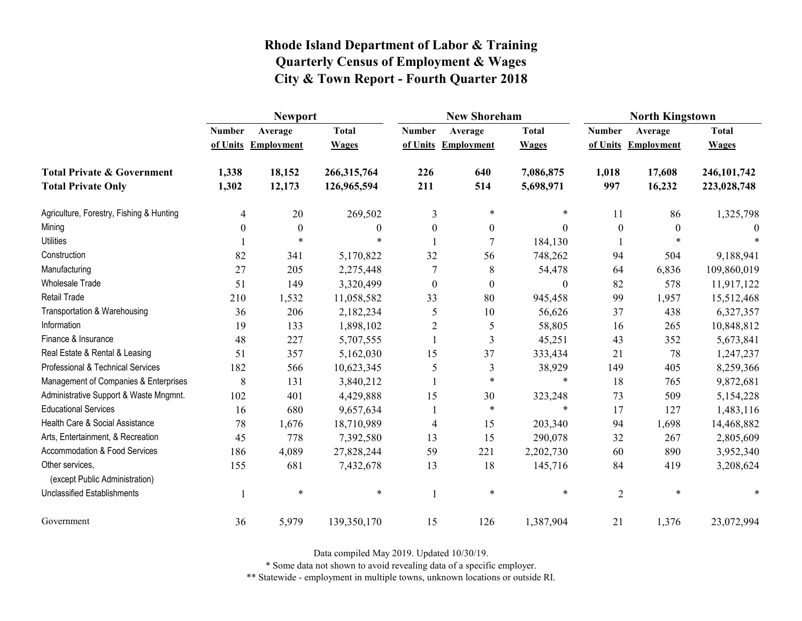|                                                   | <b>Newport</b> |                     |              |                  | <b>New Shoreham</b> |                  | <b>North Kingstown</b> |                     |              |
|---------------------------------------------------|----------------|---------------------|--------------|------------------|---------------------|------------------|------------------------|---------------------|--------------|
|                                                   | <b>Number</b>  | Average             | <b>Total</b> | <b>Number</b>    | Average             | <b>Total</b>     | <b>Number</b>          | Average             | <b>Total</b> |
|                                                   |                | of Units Employment | <b>Wages</b> |                  | of Units Employment | <b>Wages</b>     |                        | of Units Employment | <b>Wages</b> |
| <b>Total Private &amp; Government</b>             | 1,338          | 18,152              | 266,315,764  | 226              | 640                 | 7,086,875        | 1,018                  | 17,608              | 246,101,742  |
| <b>Total Private Only</b>                         | 1,302          | 12,173              | 126,965,594  | 211              | 514                 | 5,698,971        | 997                    | 16,232              | 223,028,748  |
| Agriculture, Forestry, Fishing & Hunting          | 4              | 20                  | 269,502      | 3                | $\ast$              | $\ast$           | 11                     | 86                  | 1,325,798    |
| Mining                                            | 0              | $\boldsymbol{0}$    | 0            | $\mathbf{0}$     | $\boldsymbol{0}$    | $\Omega$         | $\boldsymbol{0}$       | $\theta$            | $\Omega$     |
| <b>Utilities</b>                                  |                | $\ast$              | $\ast$       |                  | $\overline{7}$      | 184,130          |                        | $\ast$              |              |
| Construction                                      | 82             | 341                 | 5,170,822    | 32               | 56                  | 748,262          | 94                     | 504                 | 9,188,941    |
| Manufacturing                                     | 27             | 205                 | 2,275,448    | 7                | 8                   | 54,478           | 64                     | 6,836               | 109,860,019  |
| Wholesale Trade                                   | 51             | 149                 | 3,320,499    | $\boldsymbol{0}$ | $\boldsymbol{0}$    | $\boldsymbol{0}$ | 82                     | 578                 | 11,917,122   |
| <b>Retail Trade</b>                               | 210            | 1,532               | 11,058,582   | 33               | 80                  | 945,458          | 99                     | 1,957               | 15,512,468   |
| Transportation & Warehousing                      | 36             | 206                 | 2,182,234    | 5                | 10                  | 56,626           | 37                     | 438                 | 6,327,357    |
| Information                                       | 19             | 133                 | 1,898,102    | $\overline{2}$   | 5                   | 58,805           | 16                     | 265                 | 10,848,812   |
| Finance & Insurance                               | 48             | 227                 | 5,707,555    |                  | 3                   | 45,251           | 43                     | 352                 | 5,673,841    |
| Real Estate & Rental & Leasing                    | 51             | 357                 | 5,162,030    | 15               | 37                  | 333,434          | 21                     | 78                  | 1,247,237    |
| Professional & Technical Services                 | 182            | 566                 | 10,623,345   | 5                | 3                   | 38,929           | 149                    | 405                 | 8,259,366    |
| Management of Companies & Enterprises             | 8              | 131                 | 3,840,212    |                  | $\ast$              | $\ast$           | 18                     | 765                 | 9,872,681    |
| Administrative Support & Waste Mngmnt.            | 102            | 401                 | 4,429,888    | 15               | 30                  | 323,248          | 73                     | 509                 | 5,154,228    |
| <b>Educational Services</b>                       | 16             | 680                 | 9,657,634    |                  | $\ast$              | $\ast$           | 17                     | 127                 | 1,483,116    |
| Health Care & Social Assistance                   | 78             | 1,676               | 18,710,989   | $\overline{4}$   | 15                  | 203,340          | 94                     | 1,698               | 14,468,882   |
| Arts, Entertainment, & Recreation                 | 45             | 778                 | 7,392,580    | 13               | 15                  | 290,078          | 32                     | 267                 | 2,805,609    |
| Accommodation & Food Services                     | 186            | 4,089               | 27,828,244   | 59               | 221                 | 2,202,730        | 60                     | 890                 | 3,952,340    |
| Other services,<br>(except Public Administration) | 155            | 681                 | 7,432,678    | 13               | 18                  | 145,716          | 84                     | 419                 | 3,208,624    |
| Unclassified Establishments                       |                | $\ast$              | $\ast$       |                  | $\ast$              | $\ast$           | $\overline{2}$         | $\ast$              |              |
| Government                                        | 36             | 5,979               | 139,350,170  | 15               | 126                 | 1,387,904        | 21                     | 1,376               | 23,072,994   |

Data compiled May 2019. Updated 10/30/19.

\* Some data not shown to avoid revealing data of a specific employer.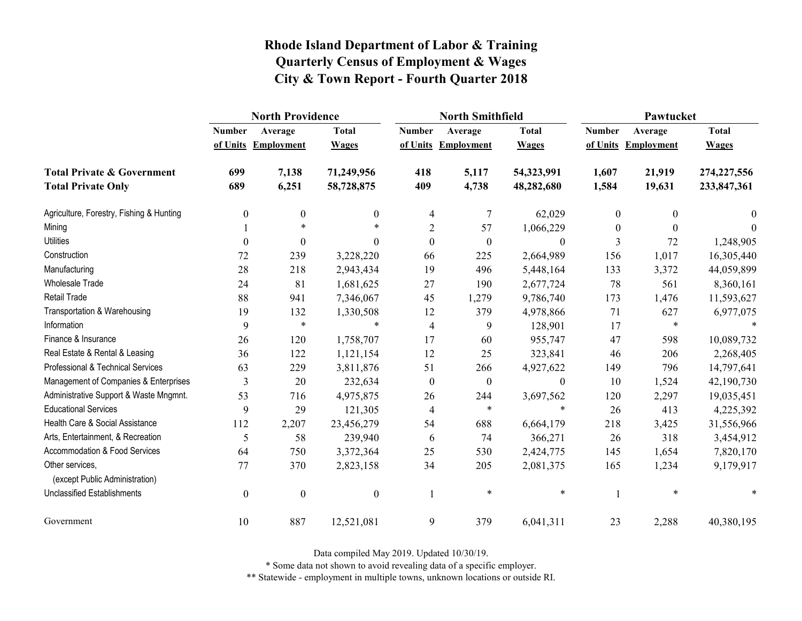|                                                   | <b>North Providence</b> |                     |                  |                  | <b>North Smithfield</b> |                  | Pawtucket     |                     |               |
|---------------------------------------------------|-------------------------|---------------------|------------------|------------------|-------------------------|------------------|---------------|---------------------|---------------|
|                                                   | <b>Number</b>           | Average             | <b>Total</b>     | <b>Number</b>    | Average                 | <b>Total</b>     | <b>Number</b> | Average             | <b>Total</b>  |
|                                                   |                         | of Units Employment | <b>Wages</b>     |                  | of Units Employment     | <b>Wages</b>     |               | of Units Employment | <b>Wages</b>  |
| <b>Total Private &amp; Government</b>             | 699                     | 7,138               | 71,249,956       | 418              | 5,117                   | 54,323,991       | 1,607         | 21,919              | 274, 227, 556 |
| <b>Total Private Only</b>                         | 689                     | 6,251               | 58,728,875       | 409              | 4,738                   | 48,282,680       | 1,584         | 19,631              | 233,847,361   |
| Agriculture, Forestry, Fishing & Hunting          | $\boldsymbol{0}$        | 0                   | $\mathbf{0}$     | 4                | 7                       | 62,029           | $\mathbf{0}$  | $\boldsymbol{0}$    | $\theta$      |
| Mining                                            |                         | $\ast$              |                  | $\overline{2}$   | 57                      | 1,066,229        | 0             | $\theta$            | $\Omega$      |
| <b>Utilities</b>                                  | $\theta$                | $\theta$            | $\Omega$         | $\mathbf{0}$     | $\boldsymbol{0}$        | $\theta$         | 3             | 72                  | 1,248,905     |
| Construction                                      | 72                      | 239                 | 3,228,220        | 66               | 225                     | 2,664,989        | 156           | 1,017               | 16,305,440    |
| Manufacturing                                     | 28                      | 218                 | 2,943,434        | 19               | 496                     | 5,448,164        | 133           | 3,372               | 44,059,899    |
| Wholesale Trade                                   | 24                      | 81                  | 1,681,625        | 27               | 190                     | 2,677,724        | 78            | 561                 | 8,360,161     |
| <b>Retail Trade</b>                               | 88                      | 941                 | 7,346,067        | 45               | 1,279                   | 9,786,740        | 173           | 1,476               | 11,593,627    |
| Transportation & Warehousing                      | 19                      | 132                 | 1,330,508        | 12               | 379                     | 4,978,866        | 71            | 627                 | 6,977,075     |
| Information                                       | 9                       | $\ast$              | $\ast$           | $\overline{4}$   | 9                       | 128,901          | 17            | $\ast$              |               |
| Finance & Insurance                               | 26                      | 120                 | 1,758,707        | 17               | 60                      | 955,747          | 47            | 598                 | 10,089,732    |
| Real Estate & Rental & Leasing                    | 36                      | 122                 | 1,121,154        | 12               | 25                      | 323,841          | 46            | 206                 | 2,268,405     |
| Professional & Technical Services                 | 63                      | 229                 | 3,811,876        | 51               | 266                     | 4,927,622        | 149           | 796                 | 14,797,641    |
| Management of Companies & Enterprises             | 3                       | 20                  | 232,634          | $\boldsymbol{0}$ | $\boldsymbol{0}$        | $\boldsymbol{0}$ | 10            | 1,524               | 42,190,730    |
| Administrative Support & Waste Mngmnt.            | 53                      | 716                 | 4,975,875        | 26               | 244                     | 3,697,562        | 120           | 2,297               | 19,035,451    |
| <b>Educational Services</b>                       | 9                       | 29                  | 121,305          | 4                | $\ast$                  | $\ast$           | 26            | 413                 | 4,225,392     |
| Health Care & Social Assistance                   | 112                     | 2,207               | 23,456,279       | 54               | 688                     | 6,664,179        | 218           | 3,425               | 31,556,966    |
| Arts, Entertainment, & Recreation                 | 5                       | 58                  | 239,940          | 6                | 74                      | 366,271          | 26            | 318                 | 3,454,912     |
| Accommodation & Food Services                     | 64                      | 750                 | 3,372,364        | 25               | 530                     | 2,424,775        | 145           | 1,654               | 7,820,170     |
| Other services,<br>(except Public Administration) | 77                      | 370                 | 2,823,158        | 34               | 205                     | 2,081,375        | 165           | 1,234               | 9,179,917     |
| <b>Unclassified Establishments</b>                | $\boldsymbol{0}$        | $\boldsymbol{0}$    | $\boldsymbol{0}$ | 1                | $\ast$                  | $\ast$           |               | $\ast$              |               |
| Government                                        | 10                      | 887                 | 12,521,081       | 9                | 379                     | 6,041,311        | 23            | 2,288               | 40,380,195    |

Data compiled May 2019. Updated 10/30/19.

\* Some data not shown to avoid revealing data of a specific employer.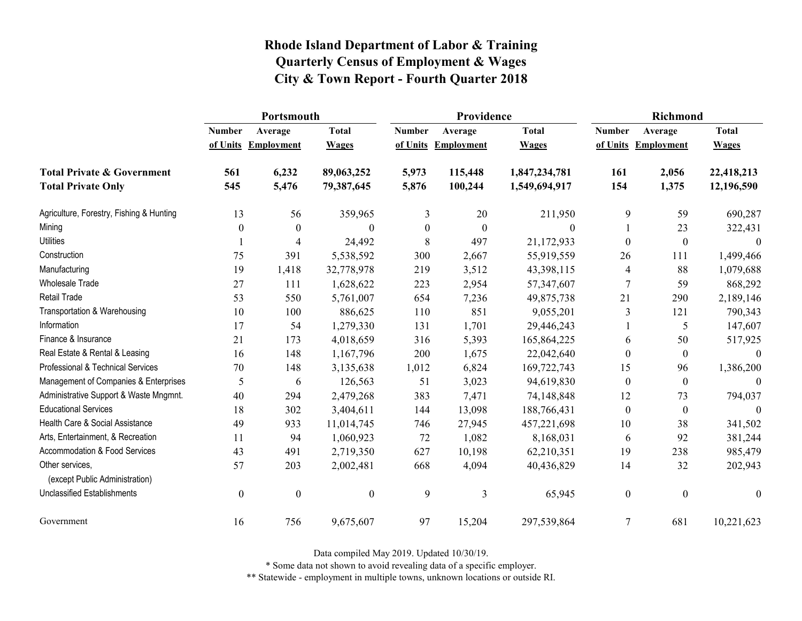|                                                   | Portsmouth       |                     |                  |                  | Providence          |               | <b>Richmond</b>  |                     |                  |
|---------------------------------------------------|------------------|---------------------|------------------|------------------|---------------------|---------------|------------------|---------------------|------------------|
|                                                   | <b>Number</b>    | Average             | <b>Total</b>     | <b>Number</b>    | Average             | <b>Total</b>  | <b>Number</b>    | Average             | <b>Total</b>     |
|                                                   |                  | of Units Employment | <b>Wages</b>     |                  | of Units Employment | <b>Wages</b>  |                  | of Units Employment | <b>Wages</b>     |
| <b>Total Private &amp; Government</b>             | 561              | 6,232               | 89,063,252       | 5,973            | 115,448             | 1,847,234,781 | 161              | 2,056               | 22,418,213       |
| <b>Total Private Only</b>                         | 545              | 5,476               | 79,387,645       | 5,876            | 100,244             | 1,549,694,917 | 154              | 1,375               | 12,196,590       |
| Agriculture, Forestry, Fishing & Hunting          | 13               | 56                  | 359,965          | 3                | 20                  | 211,950       | 9                | 59                  | 690,287          |
| Mining                                            | $\theta$         | $\boldsymbol{0}$    | $\boldsymbol{0}$ | $\boldsymbol{0}$ | $\boldsymbol{0}$    | $\theta$      |                  | 23                  | 322,431          |
| <b>Utilities</b>                                  |                  | 4                   | 24,492           | 8                | 497                 | 21,172,933    | $\Omega$         | $\boldsymbol{0}$    | $\theta$         |
| Construction                                      | 75               | 391                 | 5,538,592        | 300              | 2,667               | 55,919,559    | 26               | 111                 | 1,499,466        |
| Manufacturing                                     | 19               | 1,418               | 32,778,978       | 219              | 3,512               | 43,398,115    | 4                | 88                  | 1,079,688        |
| <b>Wholesale Trade</b>                            | 27               | 111                 | 1,628,622        | 223              | 2,954               | 57,347,607    | 7                | 59                  | 868,292          |
| Retail Trade                                      | 53               | 550                 | 5,761,007        | 654              | 7,236               | 49,875,738    | 21               | 290                 | 2,189,146        |
| Transportation & Warehousing                      | 10               | 100                 | 886,625          | 110              | 851                 | 9,055,201     | 3                | 121                 | 790,343          |
| Information                                       | 17               | 54                  | 1,279,330        | 131              | 1,701               | 29,446,243    |                  | 5                   | 147,607          |
| Finance & Insurance                               | 21               | 173                 | 4,018,659        | 316              | 5,393               | 165,864,225   | 6                | 50                  | 517,925          |
| Real Estate & Rental & Leasing                    | 16               | 148                 | 1,167,796        | 200              | 1,675               | 22,042,640    | $\theta$         | $\boldsymbol{0}$    | $\Omega$         |
| Professional & Technical Services                 | 70               | 148                 | 3,135,638        | 1,012            | 6,824               | 169,722,743   | 15               | 96                  | 1,386,200        |
| Management of Companies & Enterprises             | 5                | 6                   | 126,563          | 51               | 3,023               | 94,619,830    | $\boldsymbol{0}$ | $\boldsymbol{0}$    | $\theta$         |
| Administrative Support & Waste Mngmnt.            | 40               | 294                 | 2,479,268        | 383              | 7,471               | 74,148,848    | 12               | 73                  | 794,037          |
| <b>Educational Services</b>                       | 18               | 302                 | 3,404,611        | 144              | 13,098              | 188,766,431   | $\theta$         | $\mathbf{0}$        | $\Omega$         |
| Health Care & Social Assistance                   | 49               | 933                 | 11,014,745       | 746              | 27,945              | 457,221,698   | 10               | 38                  | 341,502          |
| Arts, Entertainment, & Recreation                 | 11               | 94                  | 1,060,923        | 72               | 1,082               | 8,168,031     | 6                | 92                  | 381,244          |
| Accommodation & Food Services                     | 43               | 491                 | 2,719,350        | 627              | 10,198              | 62,210,351    | 19               | 238                 | 985,479          |
| Other services,<br>(except Public Administration) | 57               | 203                 | 2,002,481        | 668              | 4,094               | 40,436,829    | 14               | 32                  | 202,943          |
| <b>Unclassified Establishments</b>                | $\boldsymbol{0}$ | $\boldsymbol{0}$    | $\boldsymbol{0}$ | 9                | 3                   | 65,945        | $\boldsymbol{0}$ | $\boldsymbol{0}$    | $\boldsymbol{0}$ |
| Government                                        | 16               | 756                 | 9,675,607        | 97               | 15,204              | 297,539,864   | 7                | 681                 | 10,221,623       |

Data compiled May 2019. Updated 10/30/19.

\* Some data not shown to avoid revealing data of a specific employer.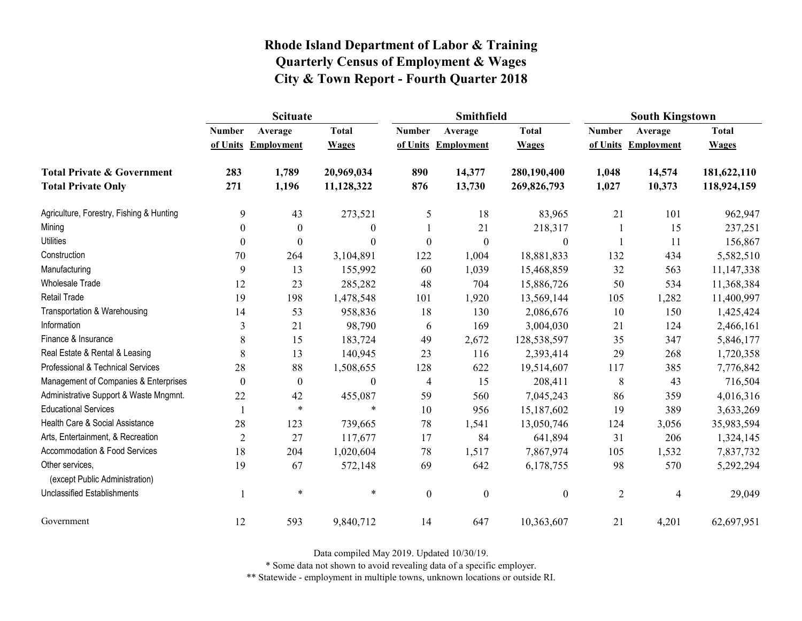|                                                   | <b>Scituate</b>  |                     |                  |                  | Smithfield          |                  | <b>South Kingstown</b> |                     |              |
|---------------------------------------------------|------------------|---------------------|------------------|------------------|---------------------|------------------|------------------------|---------------------|--------------|
|                                                   | <b>Number</b>    | Average             | <b>Total</b>     | <b>Number</b>    | Average             | <b>Total</b>     | <b>Number</b>          | Average             | <b>Total</b> |
|                                                   |                  | of Units Employment | <b>Wages</b>     |                  | of Units Employment | <b>Wages</b>     |                        | of Units Employment | <b>Wages</b> |
| <b>Total Private &amp; Government</b>             | 283              | 1,789               | 20,969,034       | 890              | 14,377              | 280,190,400      | 1,048                  | 14,574              | 181,622,110  |
| <b>Total Private Only</b>                         | 271              | 1,196               | 11,128,322       | 876              | 13,730              | 269,826,793      | 1,027                  | 10,373              | 118,924,159  |
| Agriculture, Forestry, Fishing & Hunting          | 9                | 43                  | 273,521          | 5                | 18                  | 83,965           | 21                     | 101                 | 962,947      |
| Mining                                            | 0                | $\boldsymbol{0}$    | $\boldsymbol{0}$ |                  | 21                  | 218,317          |                        | 15                  | 237,251      |
| <b>Utilities</b>                                  | $\theta$         | $\theta$            | $\boldsymbol{0}$ | $\boldsymbol{0}$ | $\boldsymbol{0}$    | $\boldsymbol{0}$ |                        | 11                  | 156,867      |
| Construction                                      | 70               | 264                 | 3,104,891        | 122              | 1,004               | 18,881,833       | 132                    | 434                 | 5,582,510    |
| Manufacturing                                     | 9                | 13                  | 155,992          | 60               | 1,039               | 15,468,859       | 32                     | 563                 | 11,147,338   |
| Wholesale Trade                                   | 12               | 23                  | 285,282          | 48               | 704                 | 15,886,726       | 50                     | 534                 | 11,368,384   |
| <b>Retail Trade</b>                               | 19               | 198                 | 1,478,548        | 101              | 1,920               | 13,569,144       | 105                    | 1,282               | 11,400,997   |
| Transportation & Warehousing                      | 14               | 53                  | 958,836          | 18               | 130                 | 2,086,676        | 10                     | 150                 | 1,425,424    |
| Information                                       | 3                | 21                  | 98,790           | 6                | 169                 | 3,004,030        | 21                     | 124                 | 2,466,161    |
| Finance & Insurance                               | 8                | 15                  | 183,724          | 49               | 2,672               | 128,538,597      | 35                     | 347                 | 5,846,177    |
| Real Estate & Rental & Leasing                    | 8                | 13                  | 140,945          | 23               | 116                 | 2,393,414        | 29                     | 268                 | 1,720,358    |
| Professional & Technical Services                 | 28               | 88                  | 1,508,655        | 128              | 622                 | 19,514,607       | 117                    | 385                 | 7,776,842    |
| Management of Companies & Enterprises             | $\boldsymbol{0}$ | $\boldsymbol{0}$    | $\boldsymbol{0}$ | $\overline{4}$   | 15                  | 208,411          | $8\,$                  | 43                  | 716,504      |
| Administrative Support & Waste Mngmnt.            | 22               | 42                  | 455,087          | 59               | 560                 | 7,045,243        | 86                     | 359                 | 4,016,316    |
| <b>Educational Services</b>                       |                  | $\ast$              | $\ast$           | 10               | 956                 | 15,187,602       | 19                     | 389                 | 3,633,269    |
| Health Care & Social Assistance                   | 28               | 123                 | 739,665          | 78               | 1,541               | 13,050,746       | 124                    | 3,056               | 35,983,594   |
| Arts, Entertainment, & Recreation                 | $\overline{2}$   | 27                  | 117,677          | 17               | 84                  | 641,894          | 31                     | 206                 | 1,324,145    |
| Accommodation & Food Services                     | 18               | 204                 | 1,020,604        | 78               | 1,517               | 7,867,974        | 105                    | 1,532               | 7,837,732    |
| Other services,<br>(except Public Administration) | 19               | 67                  | 572,148          | 69               | 642                 | 6,178,755        | 98                     | 570                 | 5,292,294    |
| <b>Unclassified Establishments</b>                |                  | $\ast$              | $\ast$           | $\boldsymbol{0}$ | $\boldsymbol{0}$    | $\boldsymbol{0}$ | $\overline{2}$         | 4                   | 29,049       |
| Government                                        | 12               | 593                 | 9,840,712        | 14               | 647                 | 10,363,607       | 21                     | 4,201               | 62,697,951   |

Data compiled May 2019. Updated 10/30/19.

\* Some data not shown to avoid revealing data of a specific employer.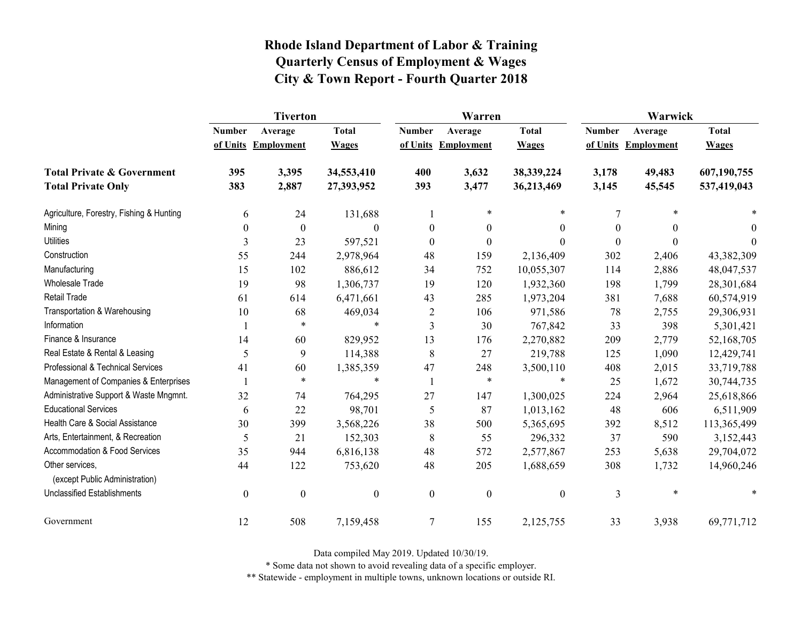|                                                   | <b>Tiverton</b>  |                     |                  |                  | Warren              |                  | Warwick       |                     |              |
|---------------------------------------------------|------------------|---------------------|------------------|------------------|---------------------|------------------|---------------|---------------------|--------------|
|                                                   | <b>Number</b>    | Average             | <b>Total</b>     | <b>Number</b>    | Average             | <b>Total</b>     | <b>Number</b> | Average             | <b>Total</b> |
|                                                   |                  | of Units Employment | <b>Wages</b>     |                  | of Units Employment | <b>Wages</b>     |               | of Units Employment | <b>Wages</b> |
| <b>Total Private &amp; Government</b>             | 395              | 3,395               | 34,553,410       | 400              | 3,632               | 38,339,224       | 3,178         | 49,483              | 607,190,755  |
| <b>Total Private Only</b>                         | 383              | 2,887               | 27,393,952       | 393              | 3,477               | 36,213,469       | 3,145         | 45,545              | 537,419,043  |
| Agriculture, Forestry, Fishing & Hunting          | 6                | 24                  | 131,688          | 1                | $\ast$              | $\ast$           | 7             |                     |              |
| Mining                                            | $\boldsymbol{0}$ | $\boldsymbol{0}$    | $\theta$         | $\boldsymbol{0}$ | $\boldsymbol{0}$    | $\boldsymbol{0}$ | 0             | $\theta$            | $\theta$     |
| <b>Utilities</b>                                  | 3                | 23                  | 597,521          | $\mathbf{0}$     | $\mathbf{0}$        | $\theta$         | $\Omega$      | $\Omega$            | $\theta$     |
| Construction                                      | 55               | 244                 | 2,978,964        | 48               | 159                 | 2,136,409        | 302           | 2,406               | 43,382,309   |
| Manufacturing                                     | 15               | 102                 | 886,612          | 34               | 752                 | 10,055,307       | 114           | 2,886               | 48,047,537   |
| Wholesale Trade                                   | 19               | 98                  | 1,306,737        | 19               | 120                 | 1,932,360        | 198           | 1,799               | 28,301,684   |
| <b>Retail Trade</b>                               | 61               | 614                 | 6,471,661        | 43               | 285                 | 1,973,204        | 381           | 7,688               | 60,574,919   |
| Transportation & Warehousing                      | 10               | 68                  | 469,034          | $\overline{2}$   | 106                 | 971,586          | 78            | 2,755               | 29,306,931   |
| Information                                       |                  | $\ast$              | $\ast$           | 3                | 30                  | 767,842          | 33            | 398                 | 5,301,421    |
| Finance & Insurance                               | 14               | 60                  | 829,952          | 13               | 176                 | 2,270,882        | 209           | 2,779               | 52,168,705   |
| Real Estate & Rental & Leasing                    | 5                | 9                   | 114,388          | 8                | 27                  | 219,788          | 125           | 1,090               | 12,429,741   |
| Professional & Technical Services                 | 41               | 60                  | 1,385,359        | 47               | 248                 | 3,500,110        | 408           | 2,015               | 33,719,788   |
| Management of Companies & Enterprises             |                  | $\ast$              | $\ast$           |                  | $\ast$              | $\ast$           | 25            | 1,672               | 30,744,735   |
| Administrative Support & Waste Mngmnt.            | 32               | 74                  | 764,295          | 27               | 147                 | 1,300,025        | 224           | 2,964               | 25,618,866   |
| <b>Educational Services</b>                       | 6                | 22                  | 98,701           | 5                | 87                  | 1,013,162        | 48            | 606                 | 6,511,909    |
| Health Care & Social Assistance                   | 30               | 399                 | 3,568,226        | 38               | 500                 | 5,365,695        | 392           | 8,512               | 113,365,499  |
| Arts, Entertainment, & Recreation                 | 5                | 21                  | 152,303          | 8                | 55                  | 296,332          | 37            | 590                 | 3,152,443    |
| Accommodation & Food Services                     | 35               | 944                 | 6,816,138        | 48               | 572                 | 2,577,867        | 253           | 5,638               | 29,704,072   |
| Other services,<br>(except Public Administration) | 44               | 122                 | 753,620          | 48               | 205                 | 1,688,659        | 308           | 1,732               | 14,960,246   |
| <b>Unclassified Establishments</b>                | $\boldsymbol{0}$ | $\boldsymbol{0}$    | $\boldsymbol{0}$ | $\boldsymbol{0}$ | $\boldsymbol{0}$    | $\boldsymbol{0}$ | 3             | $\ast$              |              |
| Government                                        | 12               | 508                 | 7,159,458        | $\tau$           | 155                 | 2,125,755        | 33            | 3,938               | 69,771,712   |

Data compiled May 2019. Updated 10/30/19.

\* Some data not shown to avoid revealing data of a specific employer.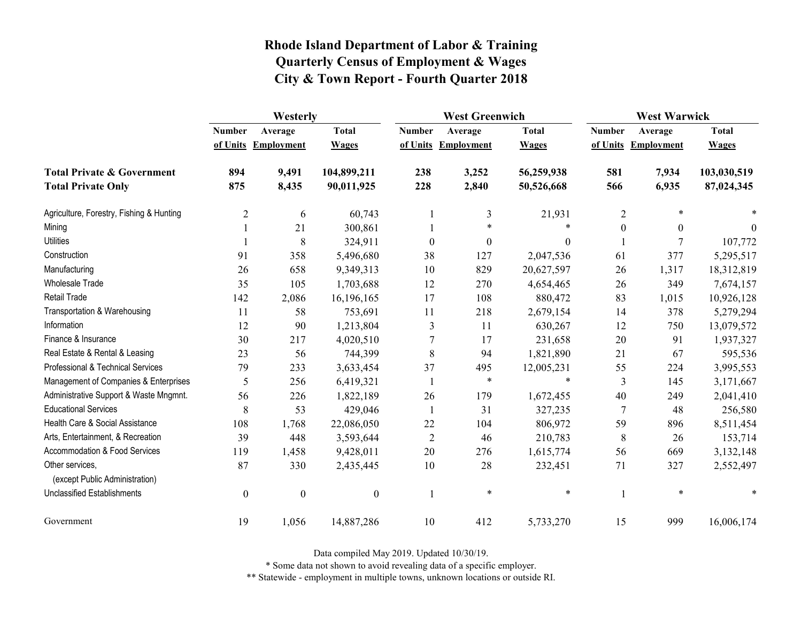|                                                   | Westerly         |                     |                  |                  | <b>West Greenwich</b> |                  |                  | <b>West Warwick</b> |              |  |
|---------------------------------------------------|------------------|---------------------|------------------|------------------|-----------------------|------------------|------------------|---------------------|--------------|--|
|                                                   | <b>Number</b>    | Average             | <b>Total</b>     | <b>Number</b>    | Average               | <b>Total</b>     | <b>Number</b>    | Average             | <b>Total</b> |  |
|                                                   |                  | of Units Employment | <b>Wages</b>     |                  | of Units Employment   | <b>Wages</b>     |                  | of Units Employment | <b>Wages</b> |  |
| <b>Total Private &amp; Government</b>             | 894              | 9,491               | 104,899,211      | 238              | 3,252                 | 56,259,938       | 581              | 7,934               | 103,030,519  |  |
| <b>Total Private Only</b>                         | 875              | 8,435               | 90,011,925       | 228              | 2,840                 | 50,526,668       | 566              | 6,935               | 87,024,345   |  |
| Agriculture, Forestry, Fishing & Hunting          | $\overline{c}$   | 6                   | 60,743           |                  | 3                     | 21,931           | $\overline{2}$   | $\ast$              |              |  |
| Mining                                            |                  | 21                  | 300,861          |                  | $\ast$                | $\ast$           | $\boldsymbol{0}$ | $\boldsymbol{0}$    | 0            |  |
| <b>Utilities</b>                                  |                  | 8                   | 324,911          | $\boldsymbol{0}$ | $\boldsymbol{0}$      | $\boldsymbol{0}$ |                  | 7                   | 107,772      |  |
| Construction                                      | 91               | 358                 | 5,496,680        | 38               | 127                   | 2,047,536        | 61               | 377                 | 5,295,517    |  |
| Manufacturing                                     | 26               | 658                 | 9,349,313        | 10               | 829                   | 20,627,597       | 26               | 1,317               | 18,312,819   |  |
| Wholesale Trade                                   | 35               | 105                 | 1,703,688        | 12               | 270                   | 4,654,465        | 26               | 349                 | 7,674,157    |  |
| <b>Retail Trade</b>                               | 142              | 2,086               | 16,196,165       | 17               | 108                   | 880,472          | 83               | 1,015               | 10,926,128   |  |
| Transportation & Warehousing                      | 11               | 58                  | 753,691          | 11               | 218                   | 2,679,154        | 14               | 378                 | 5,279,294    |  |
| Information                                       | 12               | 90                  | 1,213,804        | 3                | 11                    | 630,267          | 12               | 750                 | 13,079,572   |  |
| Finance & Insurance                               | 30               | 217                 | 4,020,510        | 7                | 17                    | 231,658          | 20               | 91                  | 1,937,327    |  |
| Real Estate & Rental & Leasing                    | 23               | 56                  | 744,399          | 8                | 94                    | 1,821,890        | 21               | 67                  | 595,536      |  |
| Professional & Technical Services                 | 79               | 233                 | 3,633,454        | 37               | 495                   | 12,005,231       | 55               | 224                 | 3,995,553    |  |
| Management of Companies & Enterprises             | 5                | 256                 | 6,419,321        | -1               | $\ast$                | $\ast$           | 3                | 145                 | 3,171,667    |  |
| Administrative Support & Waste Mngmnt.            | 56               | 226                 | 1,822,189        | 26               | 179                   | 1,672,455        | 40               | 249                 | 2,041,410    |  |
| <b>Educational Services</b>                       | 8                | 53                  | 429,046          | 1                | 31                    | 327,235          | 7                | 48                  | 256,580      |  |
| Health Care & Social Assistance                   | 108              | 1,768               | 22,086,050       | 22               | 104                   | 806,972          | 59               | 896                 | 8,511,454    |  |
| Arts, Entertainment, & Recreation                 | 39               | 448                 | 3,593,644        | $\overline{2}$   | 46                    | 210,783          | 8                | 26                  | 153,714      |  |
| Accommodation & Food Services                     | 119              | 1,458               | 9,428,011        | 20               | 276                   | 1,615,774        | 56               | 669                 | 3,132,148    |  |
| Other services,<br>(except Public Administration) | 87               | 330                 | 2,435,445        | 10               | 28                    | 232,451          | 71               | 327                 | 2,552,497    |  |
| <b>Unclassified Establishments</b>                | $\boldsymbol{0}$ | $\boldsymbol{0}$    | $\boldsymbol{0}$ | $\mathbf{1}$     | $\ast$                | $\ast$           | 1                | $\ast$              | $\ast$       |  |
| Government                                        | 19               | 1,056               | 14,887,286       | 10               | 412                   | 5,733,270        | 15               | 999                 | 16,006,174   |  |

Data compiled May 2019. Updated 10/30/19.

\* Some data not shown to avoid revealing data of a specific employer.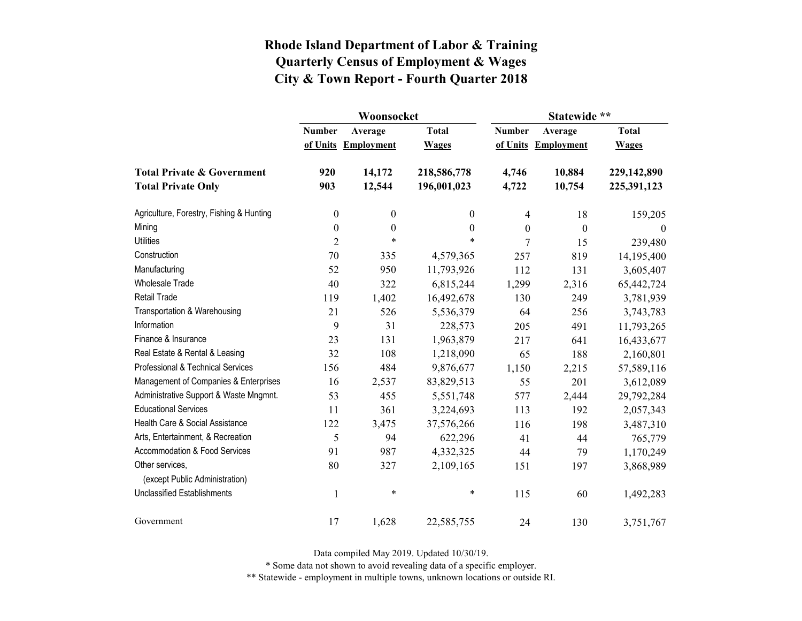|                                          |                  | Woonsocket        |                  | Statewide **     |                   |              |  |
|------------------------------------------|------------------|-------------------|------------------|------------------|-------------------|--------------|--|
|                                          | <b>Number</b>    | Average           | <b>Total</b>     | <b>Number</b>    | Average           | <b>Total</b> |  |
|                                          | of Units         | <b>Employment</b> | <b>Wages</b>     | of Units         | <b>Employment</b> | <b>Wages</b> |  |
| <b>Total Private &amp; Government</b>    | 920              | 14,172            | 218,586,778      | 4,746            | 10,884            | 229,142,890  |  |
| <b>Total Private Only</b>                | 903              | 12,544            | 196,001,023      | 4,722            | 10,754            | 225,391,123  |  |
| Agriculture, Forestry, Fishing & Hunting | $\boldsymbol{0}$ | $\boldsymbol{0}$  | $\theta$         | 4                | 18                | 159,205      |  |
| Mining                                   | $\boldsymbol{0}$ | $\boldsymbol{0}$  | $\boldsymbol{0}$ | $\boldsymbol{0}$ | $\theta$          | $\theta$     |  |
| <b>Utilities</b>                         | $\overline{2}$   | $\ast$            | *                | 7                | 15                | 239,480      |  |
| Construction                             | 70               | 335               | 4,579,365        | 257              | 819               | 14,195,400   |  |
| Manufacturing                            | 52               | 950               | 11,793,926       | 112              | 131               | 3,605,407    |  |
| Wholesale Trade                          | 40               | 322               | 6,815,244        | 1,299            | 2,316             | 65,442,724   |  |
| <b>Retail Trade</b>                      | 119              | 1,402             | 16,492,678       | 130              | 249               | 3,781,939    |  |
| Transportation & Warehousing             | 21               | 526               | 5,536,379        | 64               | 256               | 3,743,783    |  |
| Information                              | 9                | 31                | 228,573          | 205              | 491               | 11,793,265   |  |
| Finance & Insurance                      | 23               | 131               | 1,963,879        | 217              | 641               | 16,433,677   |  |
| Real Estate & Rental & Leasing           | 32               | 108               | 1,218,090        | 65               | 188               | 2,160,801    |  |
| Professional & Technical Services        | 156              | 484               | 9,876,677        | 1,150            | 2,215             | 57,589,116   |  |
| Management of Companies & Enterprises    | 16               | 2,537             | 83,829,513       | 55               | 201               | 3,612,089    |  |
| Administrative Support & Waste Mngmnt.   | 53               | 455               | 5,551,748        | 577              | 2,444             | 29,792,284   |  |
| <b>Educational Services</b>              | 11               | 361               | 3,224,693        | 113              | 192               | 2,057,343    |  |
| Health Care & Social Assistance          | 122              | 3,475             | 37,576,266       | 116              | 198               | 3,487,310    |  |
| Arts, Entertainment, & Recreation        | 5                | 94                | 622,296          | 41               | 44                | 765,779      |  |
| Accommodation & Food Services            | 91               | 987               | 4,332,325        | 44               | 79                | 1,170,249    |  |
| Other services,                          | 80               | 327               | 2,109,165        | 151              | 197               | 3,868,989    |  |
| (except Public Administration)           |                  |                   |                  |                  |                   |              |  |
| <b>Unclassified Establishments</b>       | $\mathbf{1}$     | $\ast$            | $\ast$           | 115              | 60                | 1,492,283    |  |
| Government                               | 17               | 1,628             | 22,585,755       | 24               | 130               | 3,751,767    |  |

Data compiled May 2019. Updated 10/30/19.

\* Some data not shown to avoid revealing data of a specific employer.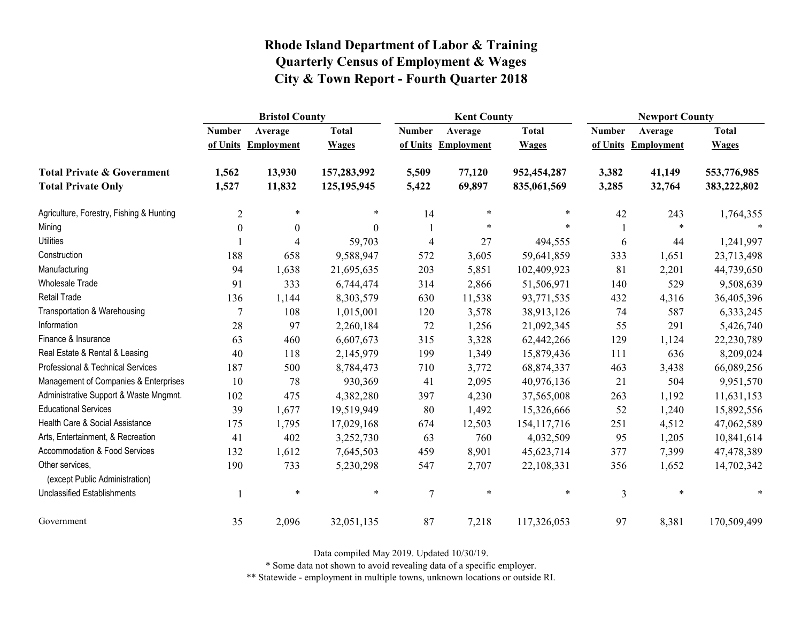|                                                   | <b>Bristol County</b>    |                   |              |                | <b>Kent County</b> |               |               | <b>Newport County</b> |              |  |
|---------------------------------------------------|--------------------------|-------------------|--------------|----------------|--------------------|---------------|---------------|-----------------------|--------------|--|
|                                                   | <b>Number</b>            | Average           | <b>Total</b> | <b>Number</b>  | Average            | <b>Total</b>  | <b>Number</b> | Average               | <b>Total</b> |  |
|                                                   | of Units                 | <b>Employment</b> | <b>Wages</b> | of Units       | Employment         | <b>Wages</b>  | of Units      | <b>Employment</b>     | <b>Wages</b> |  |
| <b>Total Private &amp; Government</b>             | 1,562                    | 13,930            | 157,283,992  | 5,509          | 77,120             | 952,454,287   | 3,382         | 41,149                | 553,776,985  |  |
| <b>Total Private Only</b>                         | 1,527                    | 11,832            | 125,195,945  | 5,422          | 69,897             | 835,061,569   | 3,285         | 32,764                | 383,222,802  |  |
| Agriculture, Forestry, Fishing & Hunting          | $\overline{2}$           | $\ast$            | *            | 14             | $\ast$             | *             | 42            | 243                   | 1,764,355    |  |
| Mining                                            | $\boldsymbol{0}$         | $\boldsymbol{0}$  | $\theta$     |                | $\ast$             |               |               | $\ast$                |              |  |
| <b>Utilities</b>                                  |                          | 4                 | 59,703       | 4              | 27                 | 494,555       | 6             | 44                    | 1,241,997    |  |
| Construction                                      | 188                      | 658               | 9,588,947    | 572            | 3,605              | 59,641,859    | 333           | 1,651                 | 23,713,498   |  |
| Manufacturing                                     | 94                       | 1,638             | 21,695,635   | 203            | 5,851              | 102,409,923   | 81            | 2,201                 | 44,739,650   |  |
| Wholesale Trade                                   | 91                       | 333               | 6,744,474    | 314            | 2,866              | 51,506,971    | 140           | 529                   | 9,508,639    |  |
| <b>Retail Trade</b>                               | 136                      | 1,144             | 8,303,579    | 630            | 11,538             | 93,771,535    | 432           | 4,316                 | 36,405,396   |  |
| Transportation & Warehousing                      | $\overline{7}$           | 108               | 1,015,001    | 120            | 3,578              | 38,913,126    | 74            | 587                   | 6,333,245    |  |
| Information                                       | 28                       | 97                | 2,260,184    | 72             | 1,256              | 21,092,345    | 55            | 291                   | 5,426,740    |  |
| Finance & Insurance                               | 63                       | 460               | 6,607,673    | 315            | 3,328              | 62,442,266    | 129           | 1,124                 | 22,230,789   |  |
| Real Estate & Rental & Leasing                    | 40                       | 118               | 2,145,979    | 199            | 1,349              | 15,879,436    | 111           | 636                   | 8,209,024    |  |
| Professional & Technical Services                 | 187                      | 500               | 8,784,473    | 710            | 3,772              | 68,874,337    | 463           | 3,438                 | 66,089,256   |  |
| Management of Companies & Enterprises             | 10                       | 78                | 930,369      | 41             | 2,095              | 40,976,136    | 21            | 504                   | 9,951,570    |  |
| Administrative Support & Waste Mngmnt.            | 102                      | 475               | 4,382,280    | 397            | 4,230              | 37,565,008    | 263           | 1,192                 | 11,631,153   |  |
| <b>Educational Services</b>                       | 39                       | 1,677             | 19,519,949   | 80             | 1,492              | 15,326,666    | 52            | 1,240                 | 15,892,556   |  |
| Health Care & Social Assistance                   | 175                      | 1,795             | 17,029,168   | 674            | 12,503             | 154, 117, 716 | 251           | 4,512                 | 47,062,589   |  |
| Arts, Entertainment, & Recreation                 | 41                       | 402               | 3,252,730    | 63             | 760                | 4,032,509     | 95            | 1,205                 | 10,841,614   |  |
| Accommodation & Food Services                     | 132                      | 1,612             | 7,645,503    | 459            | 8,901              | 45,623,714    | 377           | 7,399                 | 47,478,389   |  |
| Other services,<br>(except Public Administration) | 190                      | 733               | 5,230,298    | 547            | 2,707              | 22,108,331    | 356           | 1,652                 | 14,702,342   |  |
| <b>Unclassified Establishments</b>                | $\overline{\phantom{a}}$ | $\ast$            | $\ast$       | $\overline{7}$ | $\ast$             | $\ast$        | 3             | $\ast$                | $\ast$       |  |
| Government                                        | 35                       | 2,096             | 32,051,135   | 87             | 7,218              | 117,326,053   | 97            | 8,381                 | 170,509,499  |  |

Data compiled May 2019. Updated 10/30/19.

\* Some data not shown to avoid revealing data of a specific employer.